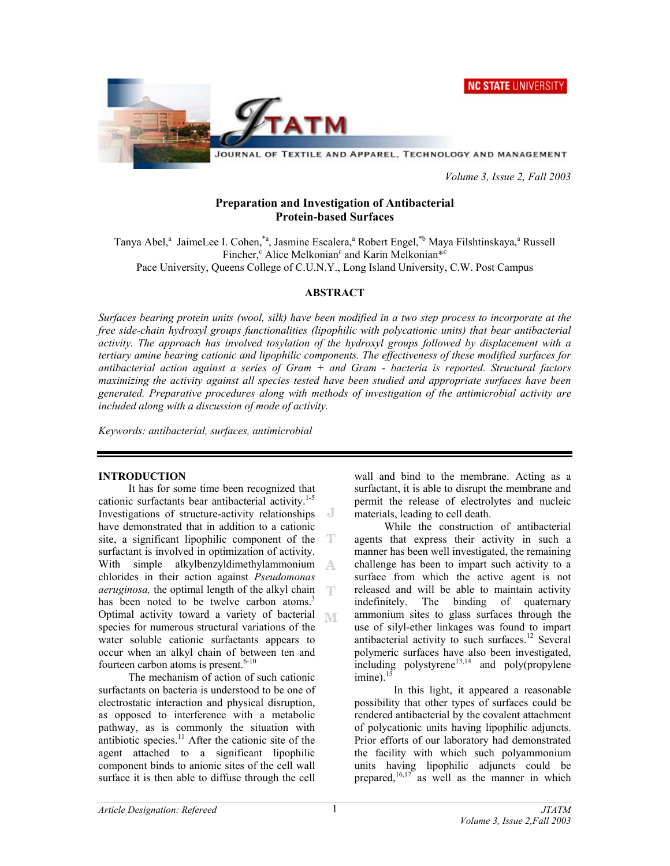**NC STATE UNIVERSITY** 



JOURNAL OF TEXTILE AND APPAREL, TECHNOLOGY AND MANAGEMENT

 *Volume 3, Issue 2, Fall 2003* 

### **Preparation and Investigation of Antibacterial Protein-based Surfaces**

Tanya Abel,<sup>a</sup> JaimeLee I. Cohen,<sup>\*a</sup>, Jasmine Escalera,<sup>a</sup> Robert Engel,<sup>\*b</sup> Maya Filshtinskaya,<sup>a</sup> Russell Fincher,<sup>c</sup> Alice Melkonian<sup>c</sup> and Karin Melkonian<sup>\*c</sup> Pace University, Queens College of C.U.N.Y., Long Island University, C.W. Post Campus

### **ABSTRACT**

*Surfaces bearing protein units (wool, silk) have been modified in a two step process to incorporate at the free side-chain hydroxyl groups functionalities (lipophilic with polycationic units) that bear antibacterial activity. The approach has involved tosylation of the hydroxyl groups followed by displacement with a tertiary amine bearing cationic and lipophilic components. The effectiveness of these modified surfaces for antibacterial action against a series of Gram + and Gram - bacteria is reported. Structural factors maximizing the activity against all species tested have been studied and appropriate surfaces have been generated. Preparative procedures along with methods of investigation of the antimicrobial activity are included along with a discussion of mode of activity.* 

*Keywords: antibacterial, surfaces, antimicrobial* 

#### **INTRODUCTION**

 It has for some time been recognized that cationic surfactants bear antibacterial activity.<sup>1-5</sup> Investigations of structure-activity relationships - J have demonstrated that in addition to a cationic site, a significant lipophilic component of the T surfactant is involved in optimization of activity. With simple alkylbenzyldimethylammonium A chlorides in their action against *Pseudomonas aeruginosa,* the optimal length of the alkyl chain has been noted to be twelve carbon atoms.<sup>3</sup> Optimal activity toward a variety of bacterial **N** species for numerous structural variations of the water soluble cationic surfactants appears to occur when an alkyl chain of between ten and fourteen carbon atoms is present. $6-10$ 

 The mechanism of action of such cationic surfactants on bacteria is understood to be one of electrostatic interaction and physical disruption, as opposed to interference with a metabolic pathway, as is commonly the situation with antibiotic species. $11$  After the cationic site of the agent attached to a significant lipophilic component binds to anionic sites of the cell wall surface it is then able to diffuse through the cell

wall and bind to the membrane. Acting as a surfactant, it is able to disrupt the membrane and permit the release of electrolytes and nucleic materials, leading to cell death.

 While the construction of antibacterial agents that express their activity in such a manner has been well investigated, the remaining challenge has been to impart such activity to a surface from which the active agent is not released and will be able to maintain activity indefinitely. The binding of quaternary ammonium sites to glass surfaces through the use of silyl-ether linkages was found to impart antibacterial activity to such surfaces.12 Several polymeric surfaces have also been investigated, including polystyrene<sup>13,14</sup> and poly(propylene  $imine$ ).<sup>15</sup>

In this light, it appeared a reasonable possibility that other types of surfaces could be rendered antibacterial by the covalent attachment of polycationic units having lipophilic adjuncts. Prior efforts of our laboratory had demonstrated the facility with which such polyammonium units having lipophilic adjuncts could be prepared, $16,17$  as well as the manner in which

T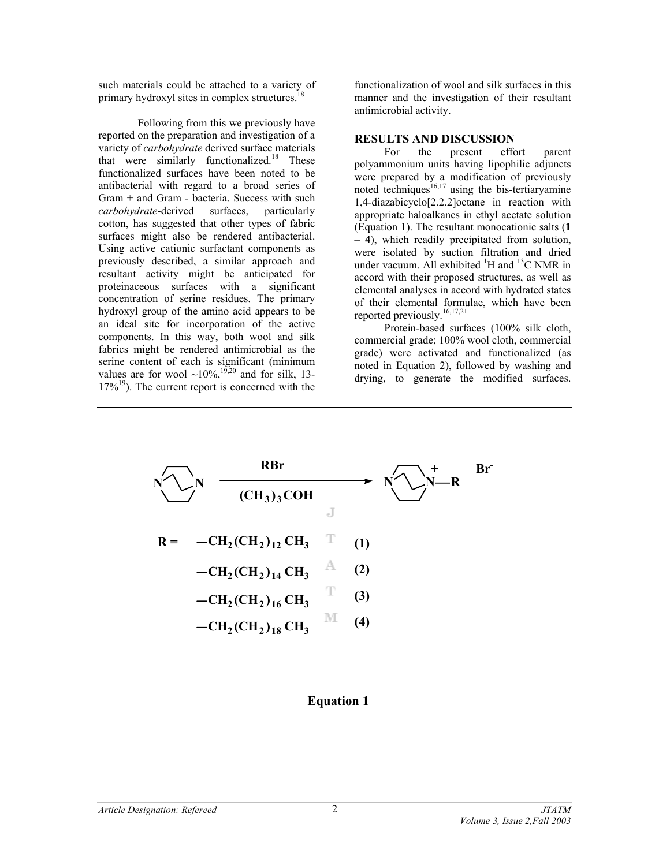such materials could be attached to a variety of primary hydroxyl sites in complex structures.<sup>18</sup>

Following from this we previously have reported on the preparation and investigation of a variety of *carbohydrate* derived surface materials that were similarly functionalized.<sup>18</sup> These functionalized surfaces have been noted to be antibacterial with regard to a broad series of Gram + and Gram - bacteria. Success with such *carbohydrate*-derived surfaces, particularly cotton, has suggested that other types of fabric surfaces might also be rendered antibacterial. Using active cationic surfactant components as previously described, a similar approach and resultant activity might be anticipated for proteinaceous surfaces with a significant concentration of serine residues. The primary hydroxyl group of the amino acid appears to be an ideal site for incorporation of the active components. In this way, both wool and silk fabrics might be rendered antimicrobial as the serine content of each is significant (minimum values are for wool  $\sim 10\%$ , <sup>19,70</sup> and for silk, 13- $17\%$ <sup>19</sup>). The current report is concerned with the

functionalization of wool and silk surfaces in this manner and the investigation of their resultant antimicrobial activity.

### **RESULTS AND DISCUSSION**

 For the present effort parent polyammonium units having lipophilic adjuncts were prepared by a modification of previously noted techniques<sup>16,17</sup> using the bis-tertiaryamine 1,4-diazabicyclo[2.2.2]octane in reaction with appropriate haloalkanes in ethyl acetate solution (Equation 1). The resultant monocationic salts (**1**  – **4**), which readily precipitated from solution, were isolated by suction filtration and dried under vacuum. All exhibited  ${}^{1}H$  and  ${}^{13}C$  NMR in accord with their proposed structures, as well as elemental analyses in accord with hydrated states of their elemental formulae, which have been reported previously.<sup>16,17,21</sup>

 Protein-based surfaces (100% silk cloth, commercial grade; 100% wool cloth, commercial grade) were activated and functionalized (as noted in Equation 2), followed by washing and drying, to generate the modified surfaces.



# **Equation 1**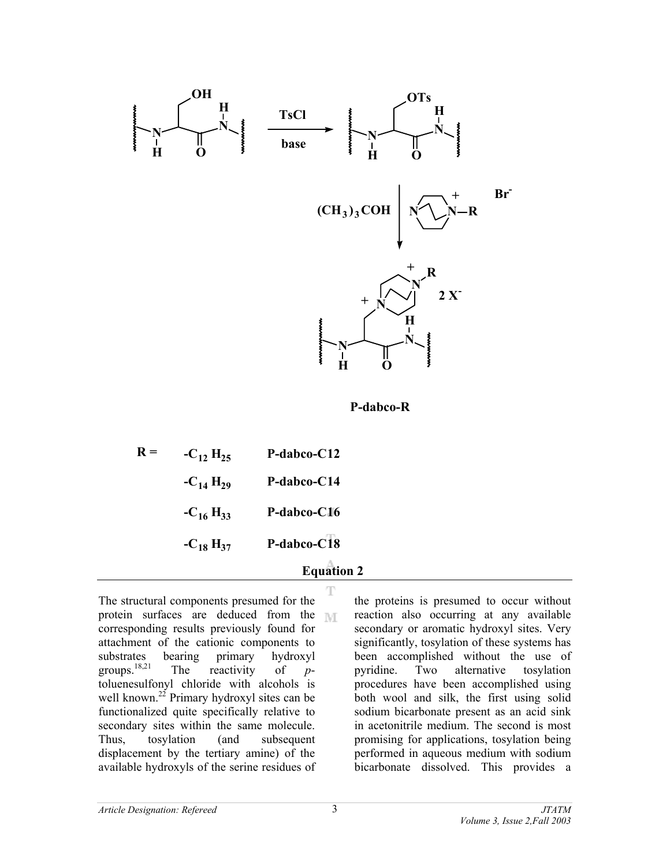

**P-dabco-R**

| $R =$ | $-C_{12}H_{25}$ | P-dabco-C12 |
|-------|-----------------|-------------|
|       | $-C_{14}H_{29}$ | P-dabco-C14 |
|       | $-C_{16}H_{33}$ | P-dabco-C16 |
|       | $-C_{18}H_{37}$ | P-dabco-C18 |
|       |                 |             |

## **Equation 2**т

The structural components presumed for the protein surfaces are deduced from the  $\mathbb{N}$ corresponding results previously found for attachment of the cationic components to substrates bearing primary hydroxyl groups.18,21 The reactivity of *p*toluenesulfonyl chloride with alcohols is well known.<sup>22</sup> Primary hydroxyl sites can be functionalized quite specifically relative to secondary sites within the same molecule. Thus, tosylation (and subsequent displacement by the tertiary amine) of the available hydroxyls of the serine residues of

the proteins is presumed to occur without reaction also occurring at any available secondary or aromatic hydroxyl sites. Very significantly, tosylation of these systems has been accomplished without the use of pyridine. Two alternative tosylation procedures have been accomplished using both wool and silk, the first using solid sodium bicarbonate present as an acid sink in acetonitrile medium. The second is most promising for applications, tosylation being performed in aqueous medium with sodium bicarbonate dissolved. This provides a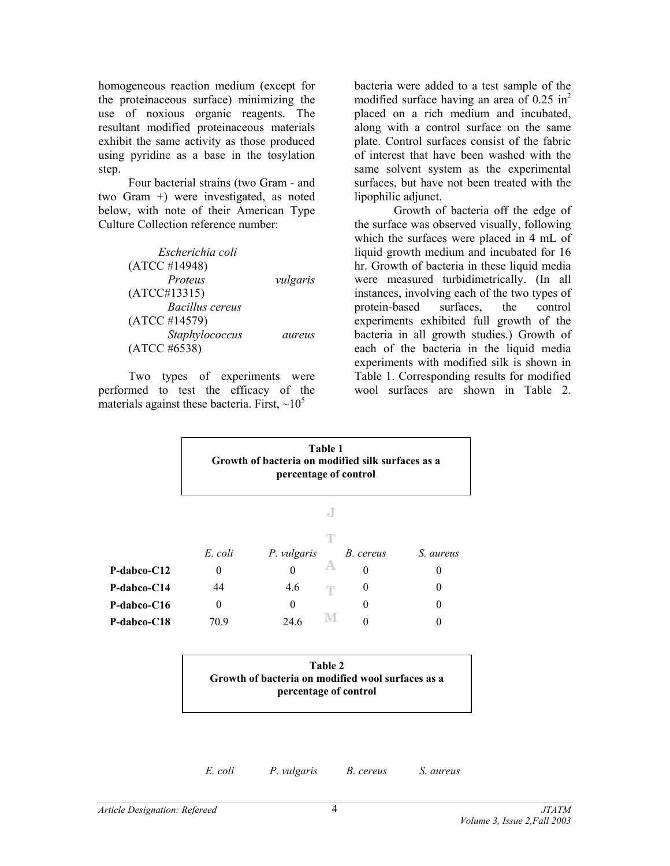homogeneous reaction medium (except for the proteinaceous surface) minimizing the use of noxious organic reagents. The resultant modified proteinaceous materials exhibit the same activity as those produced using pyridine as a base in the tosylation step.

 Four bacterial strains (two Gram - and two Gram +) were investigated, as noted below, with note of their American Type Culture Collection reference number:

| Escherichia coli |          |
|------------------|----------|
| (ATCC #14948)    |          |
| Proteus          | vulgaris |
| (ATCC#13315)     |          |
| Bacillus cereus  |          |
| (ATCC #14579)    |          |
| Staphylococcus   | aureus   |
| (ATCC #6538)     |          |

 Two types of experiments were performed to test the efficacy of the materials against these bacteria. First,  $\sim 10^5$ 

bacteria were added to a test sample of the modified surface having an area of  $0.25 \text{ in}^2$ placed on a rich medium and incubated, along with a control surface on the same plate. Control surfaces consist of the fabric of interest that have been washed with the same solvent system as the experimental surfaces, but have not been treated with the lipophilic adjunct.

Growth of bacteria off the edge of the surface was observed visually, following which the surfaces were placed in 4 mL of liquid growth medium and incubated for 16 hr. Growth of bacteria in these liquid media were measured turbidimetrically. (In all instances, involving each of the two types of protein-based surfaces, the control experiments exhibited full growth of the bacteria in all growth studies.) Growth of each of the bacteria in the liquid media experiments with modified silk is shown in Table 1. Corresponding results for modified wool surfaces are shown in Table 2.

|                    | Table 1<br>Growth of bacteria on modified silk surfaces as a<br>percentage of control |             |    |           |           |
|--------------------|---------------------------------------------------------------------------------------|-------------|----|-----------|-----------|
|                    |                                                                                       |             | e. |           |           |
|                    | E. coli                                                                               | P. vulgaris | T  | B. cereus | S. aureus |
| <b>P-dabco-C12</b> | $\theta$                                                                              |             |    | 0         | $\theta$  |
| <b>P-dabco-C14</b> | 44                                                                                    | 4.6         | T  | $\theta$  | $\theta$  |
| <b>P-dabco-C16</b> | $\theta$                                                                              | $\theta$    |    | 0         | 0         |
| <b>P-dabco-C18</b> | 70.9                                                                                  | 24.6        | M  | 0         |           |



*E. coli P. vulgaris B. cereus S. aureus*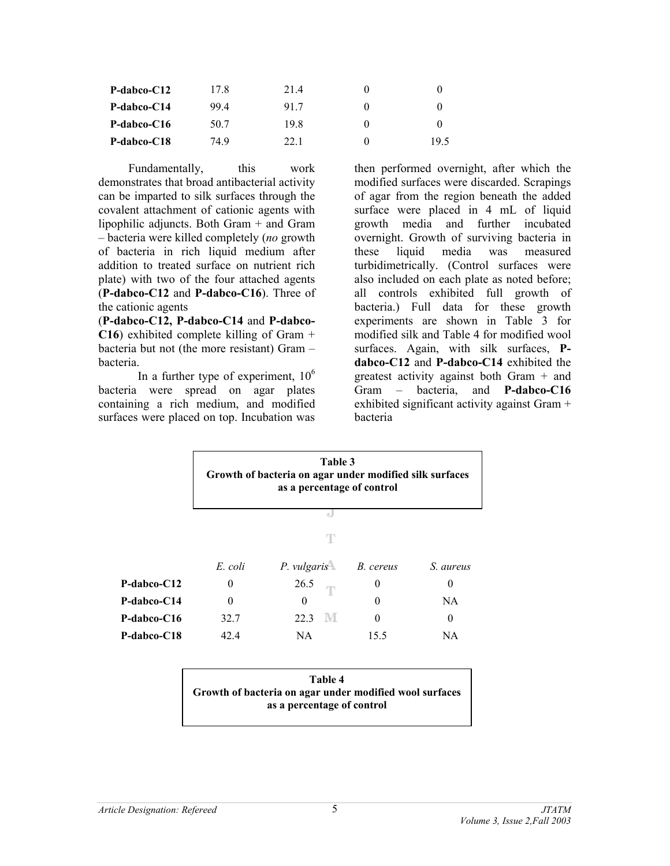| $P$ -dabco- $C12$ | 17.8 | 21.4 |      |
|-------------------|------|------|------|
| P-dabco-C14       | 994  | 917  |      |
| P-dabco-C16       | 50.7 | 198  |      |
| P-dabco-C18       | 74.9 | 22.1 | 19.5 |

Fundamentally, this work demonstrates that broad antibacterial activity can be imparted to silk surfaces through the covalent attachment of cationic agents with lipophilic adjuncts. Both Gram + and Gram – bacteria were killed completely (*no* growth of bacteria in rich liquid medium after addition to treated surface on nutrient rich plate) with two of the four attached agents (**P-dabco-C12** and **P-dabco-C16**). Three of the cationic agents

(**P-dabco-C12, P-dabco-C14** and **P-dabco-C16**) exhibited complete killing of Gram + bacteria but not (the more resistant) Gram – bacteria.

In a further type of experiment,  $10<sup>6</sup>$ bacteria were spread on agar plates containing a rich medium, and modified surfaces were placed on top. Incubation was

then performed overnight, after which the modified surfaces were discarded. Scrapings of agar from the region beneath the added surface were placed in 4 mL of liquid growth media and further incubated overnight. Growth of surviving bacteria in these liquid media was measured turbidimetrically. (Control surfaces were also included on each plate as noted before; all controls exhibited full growth of bacteria.) Full data for these growth experiments are shown in Table 3 for modified silk and Table 4 for modified wool surfaces. Again, with silk surfaces, **Pdabco-C12** and **P-dabco-C14** exhibited the greatest activity against both Gram + and Gram – bacteria, and **P-dabco-C16** exhibited significant activity against Gram + bacteria

|                    | Table 3<br>Growth of bacteria on agar under modified silk surfaces<br>as a percentage of control |                                    |          |           |  |
|--------------------|--------------------------------------------------------------------------------------------------|------------------------------------|----------|-----------|--|
|                    |                                                                                                  | a.                                 |          |           |  |
|                    |                                                                                                  | т                                  |          |           |  |
|                    | E. coli                                                                                          | P. vulgaris <sup>4</sup> B. cereus |          | S. aureus |  |
| <b>P-dabco-C12</b> | 0                                                                                                | 26.5<br>T                          | $\theta$ | $\theta$  |  |
| <b>P-dabco-C14</b> | 0                                                                                                | 0                                  | 0        | NA        |  |
| <b>P-dabco-C16</b> | 32.7                                                                                             | 22.3<br>- IVI.                     | $\theta$ | 0         |  |
| P-dabco-C18        | 42.4                                                                                             | NA                                 | 15.5     | NA        |  |

| Table 4                                                 |  |  |  |  |
|---------------------------------------------------------|--|--|--|--|
| Growth of bacteria on agar under modified wool surfaces |  |  |  |  |
| as a percentage of control                              |  |  |  |  |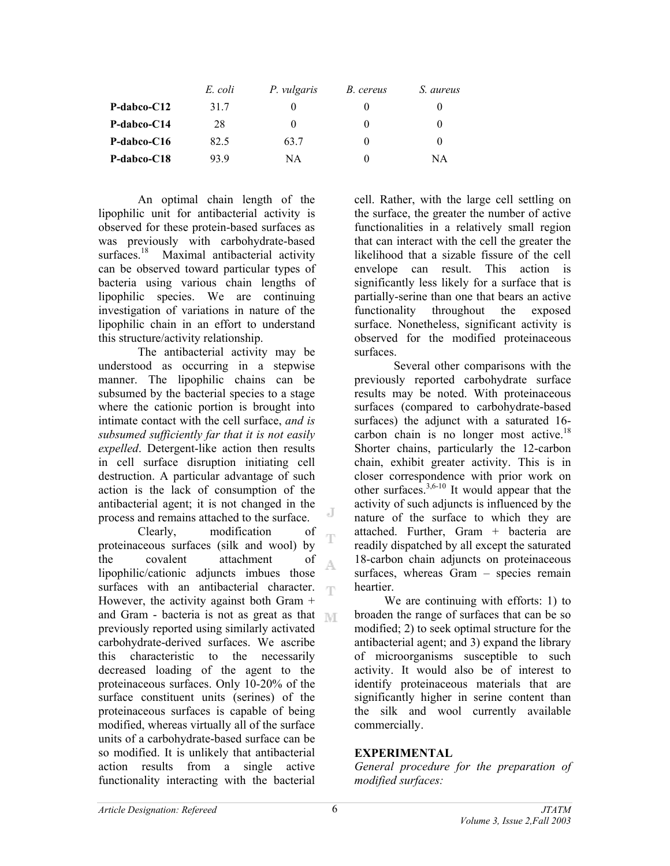|                   | E. coli | P. vulgaris | B. cereus    | S. aureus |
|-------------------|---------|-------------|--------------|-----------|
| $P$ -dabco- $C12$ | 31.7    |             | $_{0}$       | $\theta$  |
| P-dabco-C14       | 28      | $\theta$    | $\theta$     | $_{0}$    |
| P-dabco-C16       | 82.5    | 63.7        | $\theta$     | $\theta$  |
| P-dabco-C18       | 93 9    | NΑ          | $\mathbf{0}$ | NA        |

An optimal chain length of the lipophilic unit for antibacterial activity is observed for these protein-based surfaces as was previously with carbohydrate-based surfaces.<sup>18</sup> Maximal antibacterial activity can be observed toward particular types of bacteria using various chain lengths of lipophilic species. We are continuing investigation of variations in nature of the lipophilic chain in an effort to understand this structure/activity relationship.

The antibacterial activity may be understood as occurring in a stepwise manner. The lipophilic chains can be subsumed by the bacterial species to a stage where the cationic portion is brought into intimate contact with the cell surface, *and is subsumed sufficiently far that it is not easily expelled*. Detergent-like action then results in cell surface disruption initiating cell destruction. A particular advantage of such action is the lack of consumption of the antibacterial agent; it is not changed in the process and remains attached to the surface.

Clearly, modification of T proteinaceous surfaces (silk and wool) by the covalent attachment of A. lipophilic/cationic adjuncts imbues those surfaces with an antibacterial character. m However, the activity against both Gram  $+$ and Gram - bacteria is not as great as that  $\mathbb{M}$ previously reported using similarly activated carbohydrate-derived surfaces. We ascribe this characteristic to the necessarily decreased loading of the agent to the proteinaceous surfaces. Only 10-20% of the surface constituent units (serines) of the proteinaceous surfaces is capable of being modified, whereas virtually all of the surface units of a carbohydrate-based surface can be so modified. It is unlikely that antibacterial action results from a single active functionality interacting with the bacterial

cell. Rather, with the large cell settling on the surface, the greater the number of active functionalities in a relatively small region that can interact with the cell the greater the likelihood that a sizable fissure of the cell envelope can result. This action is significantly less likely for a surface that is partially-serine than one that bears an active functionality throughout the exposed surface. Nonetheless, significant activity is observed for the modified proteinaceous surfaces.

Several other comparisons with the previously reported carbohydrate surface results may be noted. With proteinaceous surfaces (compared to carbohydrate-based surfaces) the adjunct with a saturated 16 carbon chain is no longer most active.<sup>18</sup> Shorter chains, particularly the 12-carbon chain, exhibit greater activity. This is in closer correspondence with prior work on other surfaces.3,6-10 It would appear that the activity of such adjuncts is influenced by the nature of the surface to which they are attached. Further, Gram + bacteria are readily dispatched by all except the saturated 18-carbon chain adjuncts on proteinaceous surfaces, whereas Gram – species remain heartier.

 We are continuing with efforts: 1) to broaden the range of surfaces that can be so modified; 2) to seek optimal structure for the antibacterial agent; and 3) expand the library of microorganisms susceptible to such activity. It would also be of interest to identify proteinaceous materials that are significantly higher in serine content than the silk and wool currently available commercially.

### **EXPERIMENTAL**

*General procedure for the preparation of modified surfaces:* 

J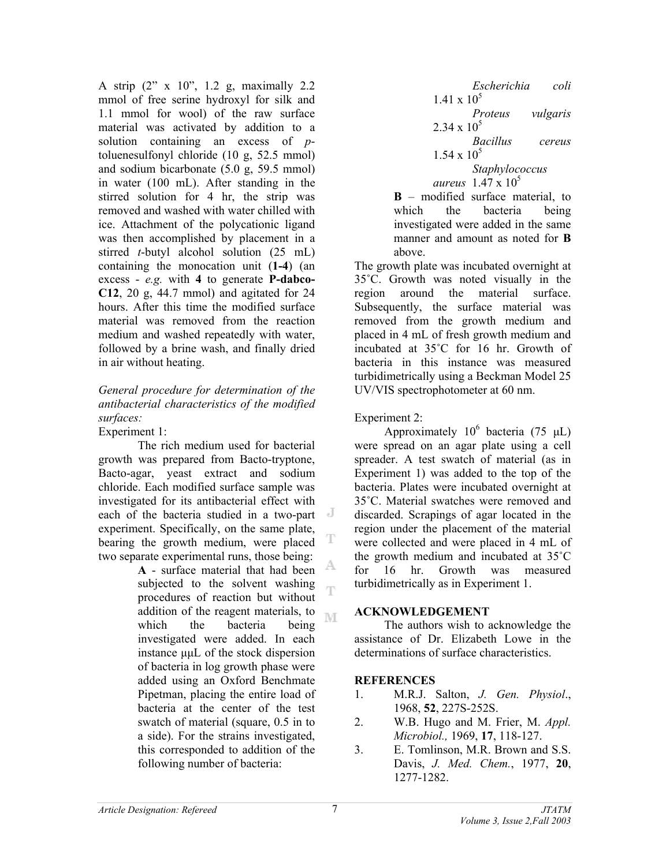A strip (2" x 10", 1.2 g, maximally 2.2 mmol of free serine hydroxyl for silk and 1.1 mmol for wool) of the raw surface material was activated by addition to a solution containing an excess of *p*toluenesulfonyl chloride (10 g, 52.5 mmol) and sodium bicarbonate (5.0 g, 59.5 mmol) in water (100 mL). After standing in the stirred solution for 4 hr, the strip was removed and washed with water chilled with ice. Attachment of the polycationic ligand was then accomplished by placement in a stirred *t*-butyl alcohol solution (25 mL) containing the monocation unit (**1-4**) (an excess - *e.g.* with **4** to generate **P-dabco-C12**, 20 g, 44.7 mmol) and agitated for 24 hours. After this time the modified surface material was removed from the reaction medium and washed repeatedly with water, followed by a brine wash, and finally dried in air without heating.

### *General procedure for determination of the antibacterial characteristics of the modified surfaces:* Experiment 1:

The rich medium used for bacterial growth was prepared from Bacto-tryptone, Bacto-agar, yeast extract and sodium chloride. Each modified surface sample was investigated for its antibacterial effect with each of the bacteria studied in a two-part experiment. Specifically, on the same plate, bearing the growth medium, were placed two separate experimental runs, those being:

> **A** - surface material that had been subjected to the solvent washing procedures of reaction but without addition of the reagent materials, to **IVE** which the bacteria being investigated were added. In each instance µµL of the stock dispersion of bacteria in log growth phase were added using an Oxford Benchmate Pipetman, placing the entire load of bacteria at the center of the test swatch of material (square, 0.5 in to a side). For the strains investigated, this corresponded to addition of the following number of bacteria:

*Escherichia coli*   $1.41 \times 10^5$ *Proteus vulgaris*   $2.34 \times 10^5$ *Bacillus cereus*   $1.54 \times 10^5$ *Staphylococcus aureus* 1.47 x 10<sup>5</sup> **B** – modified surface material, to which the bacteria being investigated were added in the same

manner and amount as noted for **B**

above. The growth plate was incubated overnight at 35˚C. Growth was noted visually in the region around the material surface. Subsequently, the surface material was removed from the growth medium and placed in 4 mL of fresh growth medium and incubated at 35˚C for 16 hr. Growth of bacteria in this instance was measured turbidimetrically using a Beckman Model 25 UV/VIS spectrophotometer at 60 nm.

Experiment 2:

Approximately  $10^6$  bacteria (75 µL) were spread on an agar plate using a cell spreader. A test swatch of material (as in Experiment 1) was added to the top of the bacteria. Plates were incubated overnight at 35˚C. Material swatches were removed and discarded. Scrapings of agar located in the region under the placement of the material were collected and were placed in 4 mL of the growth medium and incubated at 35˚C for 16 hr. Growth was measured turbidimetrically as in Experiment 1.

# **ACKNOWLEDGEMENT**

 The authors wish to acknowledge the assistance of Dr. Elizabeth Lowe in the determinations of surface characteristics.

# **REFERENCES**

- 1. M.R.J. Salton, *J. Gen. Physiol*., 1968, **52**, 227S-252S.
- 2. W.B. Hugo and M. Frier, M. *Appl. Microbiol.,* 1969, **17**, 118-127.
- 3. E. Tomlinson, M.R. Brown and S.S. Davis, *J. Med. Chem.*, 1977, **20**, 1277-1282.

т

ηñ